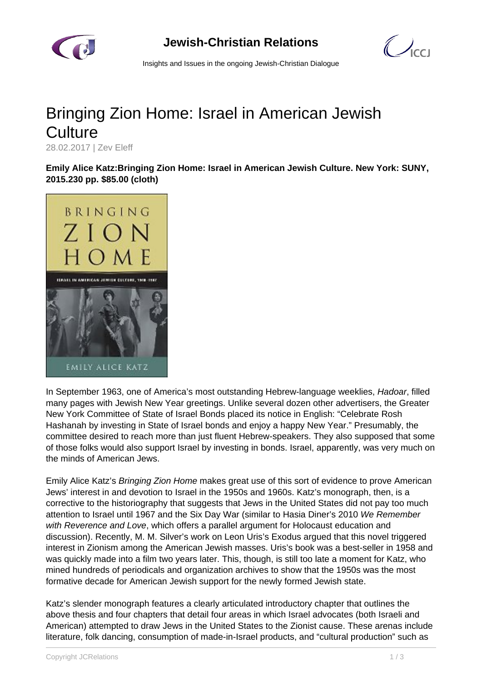

## **Jewish-Christian Relations**



Insights and Issues in the ongoing Jewish-Christian Dialogue

## Bringing Zion Home: Israel in American Jewish **Culture**

28.02.2017 | Zev Eleff

**Emily Alice Katz:Bringing Zion Home: Israel in American Jewish Culture. New York: SUNY, 2015.230 pp. \$85.00 (cloth)**



In September 1963, one of America's most outstanding Hebrew-language weeklies, Hadoar, filled many pages with Jewish New Year greetings. Unlike several dozen other advertisers, the Greater New York Committee of State of Israel Bonds placed its notice in English: "Celebrate Rosh Hashanah by investing in State of Israel bonds and enjoy a happy New Year." Presumably, the committee desired to reach more than just fluent Hebrew-speakers. They also supposed that some of those folks would also support Israel by investing in bonds. Israel, apparently, was very much on the minds of American Jews.

Emily Alice Katz's Bringing Zion Home makes great use of this sort of evidence to prove American Jews' interest in and devotion to Israel in the 1950s and 1960s. Katz's monograph, then, is a corrective to the historiography that suggests that Jews in the United States did not pay too much attention to Israel until 1967 and the Six Day War (similar to Hasia Diner's 2010 We Remember with Reverence and Love, which offers a parallel argument for Holocaust education and discussion). Recently, M. M. Silver's work on Leon Uris's Exodus argued that this novel triggered interest in Zionism among the American Jewish masses. Uris's book was a best-seller in 1958 and was quickly made into a film two years later. This, though, is still too late a moment for Katz, who mined hundreds of periodicals and organization archives to show that the 1950s was the most formative decade for American Jewish support for the newly formed Jewish state.

Katz's slender monograph features a clearly articulated introductory chapter that outlines the above thesis and four chapters that detail four areas in which Israel advocates (both Israeli and American) attempted to draw Jews in the United States to the Zionist cause. These arenas include literature, folk dancing, consumption of made-in-Israel products, and "cultural production" such as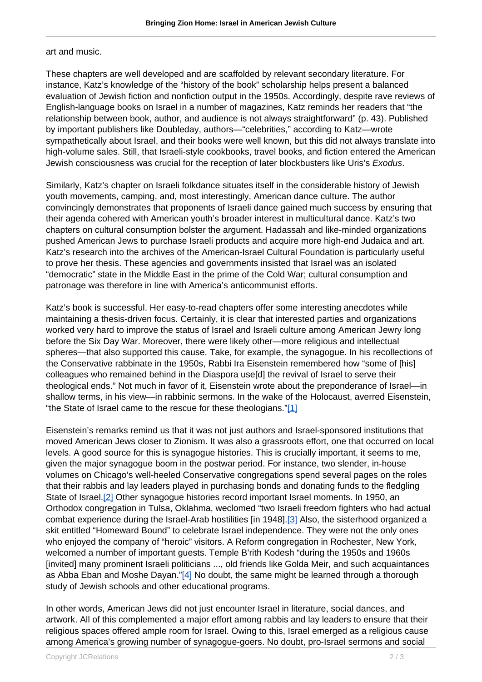art and music.

These chapters are well developed and are scaffolded by relevant secondary literature. For instance, Katz's knowledge of the "history of the book" scholarship helps present a balanced evaluation of Jewish fiction and nonfiction output in the 1950s. Accordingly, despite rave reviews of English-language books on Israel in a number of magazines, Katz reminds her readers that "the relationship between book, author, and audience is not always straightforward" (p. 43). Published by important publishers like Doubleday, authors—"celebrities," according to Katz—wrote sympathetically about Israel, and their books were well known, but this did not always translate into high-volume sales. Still, that Israeli-style cookbooks, travel books, and fiction entered the American Jewish consciousness was crucial for the reception of later blockbusters like Uris's Exodus.

Similarly, Katz's chapter on Israeli folkdance situates itself in the considerable history of Jewish youth movements, camping, and, most interestingly, American dance culture. The author convincingly demonstrates that proponents of Israeli dance gained much success by ensuring that their agenda cohered with American youth's broader interest in multicultural dance. Katz's two chapters on cultural consumption bolster the argument. Hadassah and like-minded organizations pushed American Jews to purchase Israeli products and acquire more high-end Judaica and art. Katz's research into the archives of the American-Israel Cultural Foundation is particularly useful to prove her thesis. These agencies and governments insisted that Israel was an isolated "democratic" state in the Middle East in the prime of the Cold War; cultural consumption and patronage was therefore in line with America's anticommunist efforts.

Katz's book is successful. Her easy-to-read chapters offer some interesting anecdotes while maintaining a thesis-driven focus. Certainly, it is clear that interested parties and organizations worked very hard to improve the status of Israel and Israeli culture among American Jewry long before the Six Day War. Moreover, there were likely other—more religious and intellectual spheres—that also supported this cause. Take, for example, the synagogue. In his recollections of the Conservative rabbinate in the 1950s, Rabbi Ira Eisenstein remembered how "some of [his] colleagues who remained behind in the Diaspora use[d] the revival of Israel to serve their theological ends." Not much in favor of it, Eisenstein wrote about the preponderance of Israel—in shallow terms, in his view—in rabbinic sermons. In the wake of the Holocaust, averred Eisenstein, "the State of Israel came to the rescue for these theologians."[1]

Eisenstein's remarks remind us that it was not just authors and Israel-sponsored institutions that moved American Jews closer to Zionism. It was also a grassroots effort, one that occurred on local levels. A good source for this is synagogue histories. This is crucially important, it seems to me, given the major synagogue boom in the postwar period. For instance, two slender, in-house volumes on Chicago's well-heeled Conservative congregations spend several pages on the roles that their rabbis and lay leaders played in purchasing bonds and donating funds to the fledgling State of Israel.[2] Other synagogue histories record important Israel moments. In 1950, an Orthodox congregation in Tulsa, Oklahma, weclomed "two Israeli freedom fighters who had actual combat experience during the Israel-Arab hostilities [in 1948].[3] Also, the sisterhood organized a skit entitled "Homeward Bound" to celebrate Israel independence. They were not the only ones who enjoyed the company of "heroic" visitors. A Reform congregation in Rochester, New York, welcomed a number of important guests. Temple B'rith Kodesh "during the 1950s and 1960s [invited] many prominent Israeli politicians ..., old friends like Golda Meir, and such acquaintances as Abba Eban and Moshe Dayan."[4] No doubt, the same might be learned through a thorough study of Jewish schools and other educational programs.

In other words, American Jews did not just encounter Israel in literature, social dances, and artwork. All of this complemented a major effort among rabbis and lay leaders to ensure that their religious spaces offered ample room for Israel. Owing to this, Israel emerged as a religious cause among America's growing number of synagogue-goers. No doubt, pro-Israel sermons and social